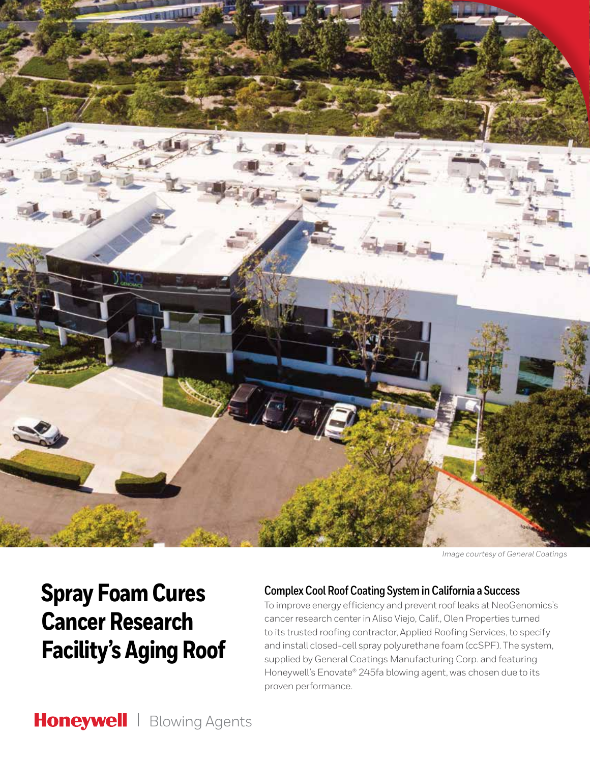

*Image courtesy of General Coatings*

# **Spray Foam Cures Cancer Research Facility's Aging Roof**

### **Complex Cool Roof Coating System in California a Success**

To improve energy efficiency and prevent roof leaks at NeoGenomics's cancer research center in Aliso Viejo, Calif., Olen Properties turned to its trusted roofing contractor, Applied Roofing Services, to specify and install closed-cell spray polyurethane foam (ccSPF). The system, supplied by General Coatings Manufacturing Corp. and featuring Honeywell's Enovate® 245fa blowing agent, was chosen due to its proven performance.